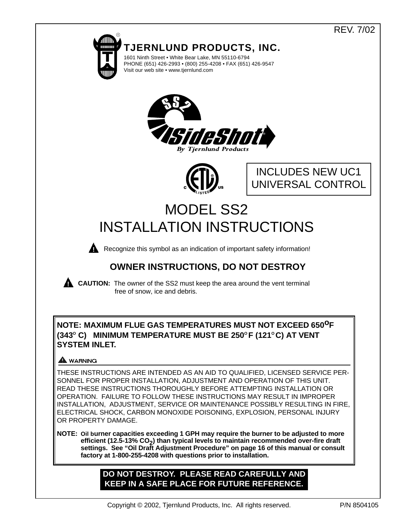# REV. 7/02

INCLUDES NEW UC1 UNIVERSAL CONTROL



**NOTE: MAXIMUM FLUE GAS TEMPERATURES MUST NOT EXCEED 650oF (343O C) MINIMUM TEMPERATURE MUST BE 250O F (121O C) AT VENT SYSTEM INLET.** 

# **A** WARNING

THESE INSTRUCTIONS ARE INTENDED AS AN AID TO QUALIFIED, LICENSED SERVICE PER-SONNEL FOR PROPER INSTALLATION, ADJUSTMENT AND OPERATION OF THIS UNIT. READ THESE INSTRUCTIONS THOROUGHLY BEFORE ATTEMPTING INSTALLATION OR OPERATION. FAILURE TO FOLLOW THESE INSTRUCTIONS MAY RESULT IN IMPROPER INSTALLATION, ADJUSTMENT, SERVICE OR MAINTENANCE POSSIBLY RESULTING IN FIRE, ELECTRICAL SHOCK, CARBON MONOXIDE POISONING, EXPLOSION, PERSONAL INJURY OR PROPERTY DAMAGE.

**NOTE: Oil burner capacities exceeding 1 GPH may require the burner to be adjusted to more efficient (12.5-13% CO<sup>2</sup> ) than typical levels to maintain recommended over-fire draft settings. See "Oil Draft Adjustment Procedure" on page 16 of this manual or consult factory at 1-800-255-4208 with questions prior to installation.**

# **DO NOT DESTROY. PLEASE READ CAREFULLY AND KEEP IN A SAFE PLACE FOR FUTURE REFERENCE.**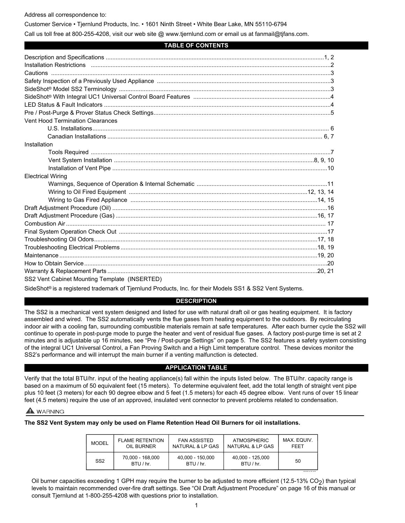Address all correspondence to:

Customer Service • Tjernlund Products, Inc. • 1601 Ninth Street • White Bear Lake, MN 55110-6794

Call us toll free at 800-255-4208, visit our web site @ www.tjernlund.com or email us at fanmail@tjfans.com.

### **TABLE OF CONTENTS**

| <b>Vent Hood Termination Clearances</b>       |  |
|-----------------------------------------------|--|
|                                               |  |
|                                               |  |
| Installation                                  |  |
|                                               |  |
|                                               |  |
|                                               |  |
| <b>Electrical Wiring</b>                      |  |
|                                               |  |
|                                               |  |
|                                               |  |
|                                               |  |
|                                               |  |
|                                               |  |
|                                               |  |
|                                               |  |
|                                               |  |
|                                               |  |
|                                               |  |
|                                               |  |
| SS2 Vent Cabinet Mounting Template (INSERTED) |  |

SideShot® is a registered trademark of Tjernlund Products, Inc. for their Models SS1 & SS2 Vent Systems.

### **DESCRIPTION**

The SS2 is a mechanical vent system designed and listed for use with natural draft oil or gas heating equipment. It is factory assembled and wired. The SS2 automatically vents the flue gases from heating equipment to the outdoors. By recirculating indoor air with a cooling fan, surrounding combustible materials remain at safe temperatures. After each burner cycle the SS2 will continue to operate in post-purge mode to purge the heater and vent of residual flue gases. A factory post-purge time is set at 2 minutes and is adjustable up 16 minutes, see "Pre / Post-purge Settings" on page 5. The SS2 features a safety system consisting of the integral UC1 Universal Control, a Fan Proving Switch and a High Limit temperature control. These devices monitor the SS2's performance and will interrupt the main burner if a venting malfunction is detected.

### **APPLICATION TABLE**

Verify that the total BTU/hr. input of the heating appliance(s) fall within the inputs listed below. The BTU/hr. capacity range is based on a maximum of 50 equivalent feet (15 meters). To determine equivalent feet, add the total length of straight vent pipe plus 10 feet (3 meters) for each 90 degree elbow and 5 feet (1.5 meters) for each 45 degree elbow. Vent runs of over 15 linear feet (4.5 meters) require the use of an approved, insulated vent connector to prevent problems related to condensation.

# A WARNING

### **The SS2 Vent System may only be used on Flame Retention Head Oil Burners for oil installations.**

| <b>MODEL</b>    | FI AMF RETENTION               | <b>FAN ASSISTED</b>            | <b>ATMOSPHERIC</b>             | MAX. EQUIV. |
|-----------------|--------------------------------|--------------------------------|--------------------------------|-------------|
|                 | OIL BURNER                     | NATURAL & LP GAS               | NATURAL & LP GAS               | <b>FFFT</b> |
| SS <sub>2</sub> | 70,000 - 168,000<br>$BTU/hr$ . | 40.000 - 150.000<br>$BTU/hr$ . | 40.000 - 125.000<br>$BTU/hr$ . | 50          |

2001019

Oil burner capacities exceeding 1 GPH may require the burner to be adjusted to more efficient (12.5-13% CO<sub>2</sub>) than typical levels to maintain recommended over-fire draft settings. See "Oil Draft Adjustment Procedure" on page 16 of this manual or consult Tjernlund at 1-800-255-4208 with questions prior to installation.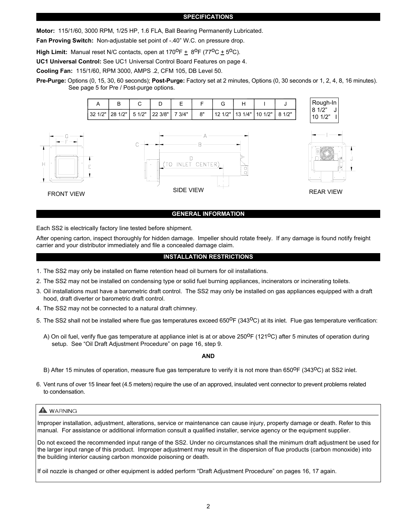**Motor:** 115/1/60, 3000 RPM, 1/25 HP, 1.6 FLA, Ball Bearing Permanently Lubricated.

**Fan Proving Switch:** Non-adjustable set point of -.40" W.C. on pressure drop.

**High Limit:** Manual reset N/C contacts, open at  $170^{\circ}F + 8^{\circ}F (77^{\circ}C + 5^{\circ}C)$ .

**UC1 Universal Control:** See UC1 Universal Control Board Features on page 4.

**Cooling Fan:** 115/1/60, RPM 3000, AMPS .2, CFM 105, DB Level 50.

**Pre-Purge:** Options (0, 15, 30, 60 seconds); **Post-Purge:** Factory set at 2 minutes, Options (0, 30 seconds or 1, 2, 4, 8, 16 minutes). See page 5 for Pre / Post-purge options.



### **GENERAL INFORMATION**

Each SS2 is electrically factory line tested before shipment.

After opening carton, inspect thoroughly for hidden damage. Impeller should rotate freely. If any damage is found notify freight carrier and your distributor immediately and file a concealed damage claim.

### **INSTALLATION RESTRICTIONS**

- 1. The SS2 may only be installed on flame retention head oil burners for oil installations.
- 2. The SS2 may not be installed on condensing type or solid fuel burning appliances, incinerators or incinerating toilets.
- 3. Oil installations must have a barometric draft control. The SS2 may only be installed on gas appliances equipped with a draft hood, draft diverter or barometric draft control.
- 4. The SS2 may not be connected to a natural draft chimney.
- 5. The SS2 shall not be installed where flue gas temperatures exceed 650<sup>o</sup>F (343<sup>o</sup>C) at its inlet. Flue gas temperature verification:
	- A) On oil fuel, verify flue gas temperature at appliance inlet is at or above  $250^{\circ}F(121^{\circ}C)$  after 5 minutes of operation during setup. See "Oil Draft Adjustment Procedure" on page 16, step 9.

#### **AND**

- B) After 15 minutes of operation, measure flue gas temperature to verify it is not more than 650<sup>o</sup>F (343<sup>o</sup>C) at SS2 inlet.
- 6. Vent runs of over 15 linear feet (4.5 meters) require the use of an approved, insulated vent connector to prevent problems related to condensation.

# A WARNING

Improper installation, adjustment, alterations, service or maintenance can cause injury, property damage or death. Refer to this manual. For assistance or additional information consult a qualified installer, service agency or the equipment supplier.

Do not exceed the recommended input range of the SS2. Under no circumstances shall the minimum draft adjustment be used for the larger input range of this product. Improper adjustment may result in the dispersion of flue products (carbon monoxide) into the building interior causing carbon monoxide poisoning or death.

If oil nozzle is changed or other equipment is added perform "Draft Adjustment Procedure" on pages 16, 17 again.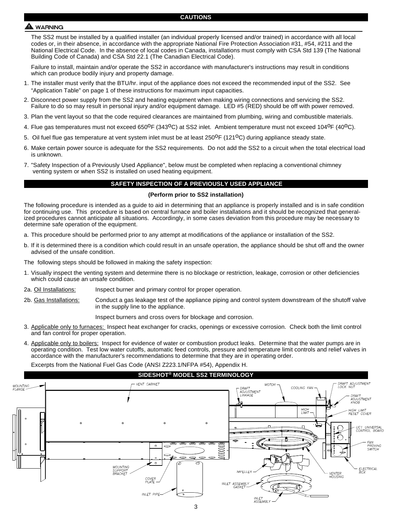### A WARNING

The SS2 must be installed by a qualified installer (an individual properly licensed and/or trained) in accordance with all local codes or, in their absence, in accordance with the appropriate National Fire Protection Association #31, #54, #211 and the National Electrical Code. In the absence of local codes in Canada, installations must comply with CSA Std 139 (The National Building Code of Canada) and CSA Std 22.1 (The Canadian Electrical Code).

Failure to install, maintain and/or operate the SS2 in accordance with manufacturer's instructions may result in conditions which can produce bodily injury and property damage.

- 1. The installer must verify that the BTU/hr. input of the appliance does not exceed the recommended input of the SS2. See "Application Table" on page 1 of these instructions for maximum input capacities.
- 2. Disconnect power supply from the SS2 and heating equipment when making wiring connections and servicing the SS2. Failure to do so may result in personal injury and/or equipment damage. LED #5 (RED) should be off with power removed.
- 3. Plan the vent layout so that the code required clearances are maintained from plumbing, wiring and combustible materials.
- 4. Flue gas temperatures must not exceed  $650^{\circ}F (343^{\circ}C)$  at SS2 inlet. Ambient temperature must not exceed 104<sup>o</sup>F (40<sup>o</sup>C).
- 5. Oil fuel flue gas temperature at vent system inlet must be at least 250<sup>o</sup>F (121<sup>o</sup>C) during appliance steady state.
- 6. Make certain power source is adequate for the SS2 requirements. Do not add the SS2 to a circuit when the total electrical load is unknown.
- 7. "Safety Inspection of a Previously Used Appliance", below must be completed when replacing a conventional chimney venting system or when SS2 is installed on used heating equipment.

#### **SAFETY INSPECTION OF A PREVIOUSLY USED APPLIANCE**

### **(Perform prior to SS2 installation)**

The following procedure is intended as a guide to aid in determining that an appliance is properly installed and is in safe condition for continuing use. This procedure is based on central furnace and boiler installations and it should be recognized that generalized procedures cannot anticipate all situations. Accordingly, in some cases deviation from this procedure may be necessary to determine safe operation of the equipment.

- a. This procedure should be performed prior to any attempt at modifications of the appliance or installation of the SS2.
- b. If it is determined there is a condition which could result in an unsafe operation, the appliance should be shut off and the owner advised of the unsafe condition.

The following steps should be followed in making the safety inspection:

- 1. Visually inspect the venting system and determine there is no blockage or restriction, leakage, corrosion or other deficiencies which could cause an unsafe condition.
- 2a. Oil Installations: Inspect burner and primary control for proper operation.
- 2b. Gas Installations: Conduct a gas leakage test of the appliance piping and control system downstream of the shutoff valve in the supply line to the appliance.

Inspect burners and cross overs for blockage and corrosion.

- 3. Applicable only to furnaces: Inspect heat exchanger for cracks, openings or excessive corrosion. Check both the limit control and fan control for proper operation.
- 4. Applicable only to boilers: Inspect for evidence of water or combustion product leaks. Determine that the water pumps are in operating condition. Test low water cutoffs, automatic feed controls, pressure and temperature limit controls and relief valves in accordance with the manufacturer's recommendations to determine that they are in operating order.

Excerpts from the National Fuel Gas Code (ANSI Z223.1/NFPA #54), Appendix H.

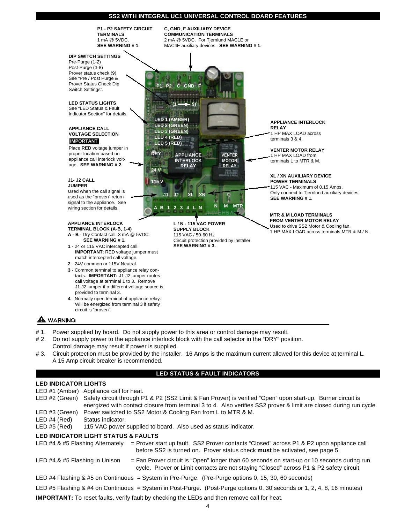#### **SS2 WITH INTEGRAL UC1 UNIVERSAL CONTROL BOARD FEATURES**



- # 2. Do not supply power to the appliance interlock block with the call selector in the "DRY" position.
- Control damage may result if power is supplied.
- # 3. Circuit protection must be provided by the installer. 16 Amps is the maximum current allowed for this device at terminal L.**V** A 15 Amp circuit breaker is recommended.

### **LED STATUS & FAULT INDICATORS**

### **LED INDICATOR LIGHTS**

- LED #1 (Amber) Appliance call for heat.
- LED #2 (Green) Safety circuit through P1 & P2 (SS2 Limit & Fan Prover) is verified "Open" upon start-up. Burner circuit is energized with contact closure from terminal 3 to 4. Also verifies SS2 prover & limit are closed during run cycle. LED #3 (Green) Power switched to SS2 Motor & Cooling Fan from L to MTR & M.
- 
- LED #4 (Red) Status indicator.
- LED #5 (Red) 115 VAC power supplied to board. Also used as status indicator.

#### **LED INDICATOR LIGHT STATUS & FAULTS**

LED #4 & #5 Flashing Alternately = Prover start up fault. SS2 Prover contacts "Closed" across P1 & P2 upon appliance call before SS2 is turned on. Prover status check **must** be activated, see page 5.

- LED #4 & #5 Flashing in Unison = Fan Prover circuit is "Open" longer than 60 seconds on start-up or 10 seconds during run cycle. Prover or Limit contacts are not staying "Closed" across P1 & P2 safety circuit.
- LED #4 Flashing & #5 on Continuous = System in Pre-Purge. (Pre-Purge options 0, 15, 30, 60 seconds)

LED #5 Flashing & #4 on Continuous = System in Post-Purge. (Post-Purge options 0, 30 seconds or 1, 2, 4, 8, 16 minutes) **IMPORTANT:** To reset faults, verify fault by checking the LEDs and then remove call for heat.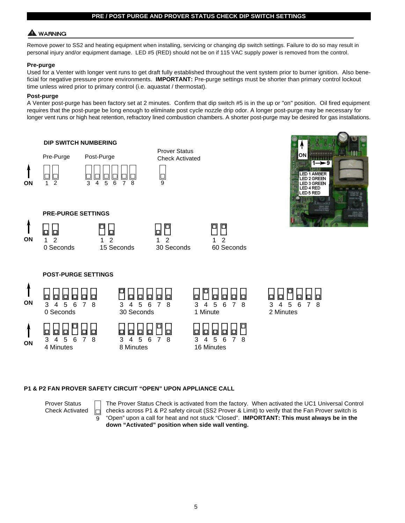### **PRE / POST PURGE AND PROVER STATUS CHECK DIP SWITCH SETTINGS**

# WARNING

Remove power to SS2 and heating equipment when installing, servicing or changing dip switch settings. Failure to do so may result in personal injury and/or equipment damage. LED #5 (RED) should not be on if 115 VAC supply power is removed from the control.

### **Pre-purge**

Used for a Venter with longer vent runs to get draft fully established throughout the vent system prior to burner ignition. Also beneficial for negative pressure prone environments. **IMPORTANT:** Pre-purge settings must be shorter than primary control lockout time unless wired prior to primary control (i.e. aquastat / thermostat).

### **Post-purge**

A Venter post-purge has been factory set at 2 minutes. Confirm that dip switch #5 is in the up or "on" position. Oil fired equipment requires that the post-purge be long enough to eliminate post cycle nozzle drip odor. A longer post-purge may be necessary for longer vent runs or high heat retention, refractory lined combustion chambers. A shorter post-purge may be desired for gas installations.



### **P1 & P2 FAN PROVER SAFETY CIRCUIT "OPEN" UPON APPLIANCE CALL**

Prover Status Check Activated

9

囗

The Prover Status Check is activated from the factory. When activated the UC1 Universal Control checks across P1 & P2 safety circuit (SS2 Prover & Limit) to verify that the Fan Prover switch is "Open" upon a call for heat and not stuck "Closed". **IMPORTANT: This must always be in the down "Activated" position when side wall venting.**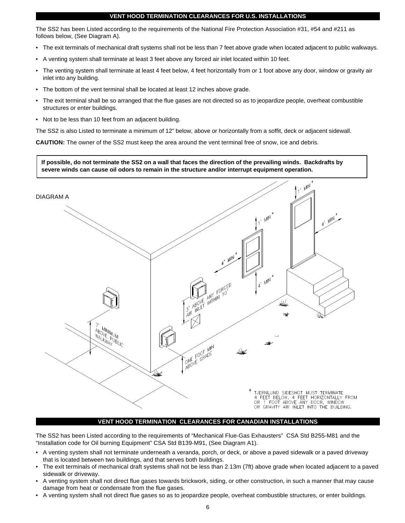### **VENT HOOD TERMINATION CLEARANCES FOR U.S. INSTALLATIONS**

The SS2 has been Listed according to the requirements of the National Fire Protection Association #31, #54 and #211 as follows below, (See Diagram A).

- The exit terminals of mechanical draft systems shall not be less than 7 feet above grade when located adjacent to public walkways.
- A venting system shall terminate at least 3 feet above any forced air inlet located within 10 feet.
- The venting system shall terminate at least 4 feet below, 4 feet horizontally from or 1 foot above any door, window or gravity air inlet into any building.
- The bottom of the vent terminal shall be located at least 12 inches above grade.
- The exit terminal shall be so arranged that the flue gases are not directed so as to jeopardize people, overheat combustible structures or enter buildings.
- Not to be less than 10 feet from an adjacent building.

The SS2 is also Listed to terminate a minimum of 12" below, above or horizontally from a soffit, deck or adjacent sidewall.

**CAUTION:** The owner of the SS2 must keep the area around the vent terminal free of snow, ice and debris.

**If possible, do not terminate the SS2 on a wall that faces the direction of the prevailing winds. Backdrafts by severe winds can cause oil odors to remain in the structure and/or interrupt equipment operation.**



### **VENT HOOD TERMINATION CLEARANCES FOR CANADIAN INSTALLATIONS**

The SS2 has been Listed according to the requirements of "Mechanical Flue-Gas Exhausters" CSA Std B255-M81 and the "Installation code for Oil burning Equipment" CSA Std B139-M91, (See Diagram A1).

- A venting system shall not terminate underneath a veranda, porch, or deck, or above a paved sidewalk or a paved driveway that is located between two buildings, and that serves both buildings.
- The exit terminals of mechanical draft systems shall not be less than 2.13m (7ft) above grade when located adjacent to a paved sidewalk or driveway.
- A venting system shall not direct flue gases towards brickwork, siding, or other construction, in such a manner that may cause damage from heat or condensate from the flue gases.
- A venting system shall not direct flue gases so as to jeopardize people, overheat combustible structures, or enter buildings.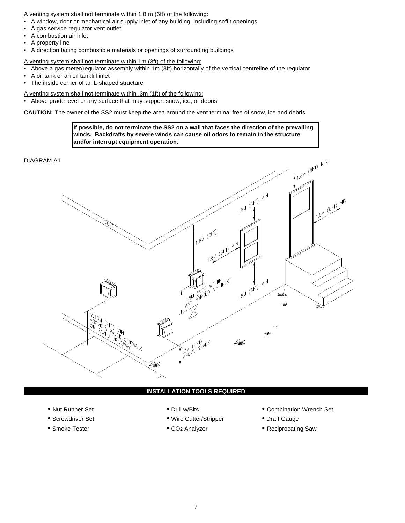A venting system shall not terminate within 1.8 m (6ft) of the following:

- A window, door or mechanical air supply inlet of any building, including soffit openings
- A gas service regulator vent outlet
- A combustion air inlet
- A property line
- A direction facing combustible materials or openings of surrounding buildings

A venting system shall not terminate within 1m (3ft) of the following:

- Above a gas meter/regulator assembly within 1m (3ft) horizontally of the vertical centreline of the regulator
- A oil tank or an oil tankfill inlet
- The inside corner of an L-shaped structure

A venting system shall not terminate within .3m (1ft) of the following:

• Above grade level or any surface that may support snow, ice, or debris

**CAUTION:** The owner of the SS2 must keep the area around the vent terminal free of snow, ice and debris.

**If possible, do not terminate the SS2 on a wall that faces the direction of the prevailing winds. Backdrafts by severe winds can cause oil odors to remain in the structure and/or interrupt equipment operation.**



### **INSTALLATION TOOLS REQUIRED**

- -
- 
- 
- Screwdriver Set • Wire Cutter/Stripper • Draft Gauge
	-
- Nut Runner Set Combination Wrench Set Drill w/Bits Combination Wrench Set
	-
- Smoke Tester CO2 Analyzer • Preciprocating Saw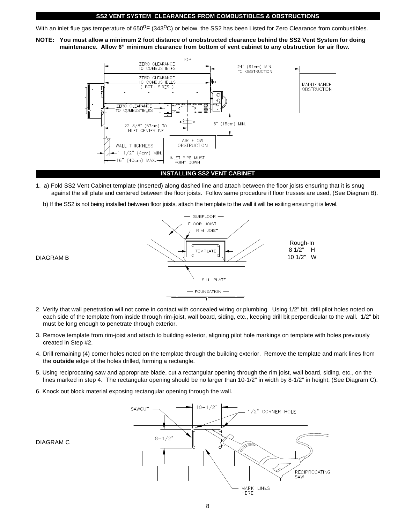#### **SS2 VENT SYSTEM CLEARANCES FROM COMBUSTIBLES & OBSTRUCTIONS**

With an inlet flue gas temperature of 650<sup>O</sup>F (343<sup>O</sup>C) or below, the SS2 has been Listed for Zero Clearance from combustibles.

**NOTE: You must allow a minimum 2 foot distance of unobstructed clearance behind the SS2 Vent System for doing maintenance. Allow 6" minimum clearance from bottom of vent cabinet to any obstruction for air flow.** 



- 1. a) Fold SS2 Vent Cabinet template (Inserted) along dashed line and attach between the floor joists ensuring that it is snug against the sill plate and centered between the floor joists. Follow same procedure if floor trusses are used, (See Diagram B).
	- b) If the SS2 is not being installed between floor joists, attach the template to the wall it will be exiting ensuring it is level.



- 2. Verify that wall penetration will not come in contact with concealed wiring or plumbing. Using 1/2" bit, drill pilot holes noted on each side of the template from inside through rim-joist, wall board, siding, etc., keeping drill bit perpendicular to the wall. 1/2" bit must be long enough to penetrate through exterior.
- 3. Remove template from rim-joist and attach to building exterior, aligning pilot hole markings on template with holes previously created in Step #2.
- 4. Drill remaining (4) corner holes noted on the template through the building exterior. Remove the template and mark lines from the **outside** edge of the holes drilled, forming a rectangle.
- 5. Using reciprocating saw and appropriate blade, cut a rectangular opening through the rim joist, wall board, siding, etc., on the lines marked in step 4. The rectangular opening should be no larger than 10-1/2" in width by 8-1/2" in height, (See Diagram C).
- 6. Knock out block material exposing rectangular opening through the wall.



DIAGRAM C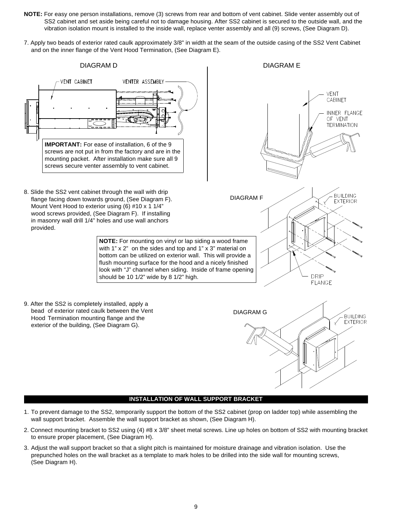- **NOTE:** For easy one person installations, remove (3) screws from rear and bottom of vent cabinet. Slide venter assembly out of SS2 cabinet and set aside being careful not to damage housing. After SS2 cabinet is secured to the outside wall, and the vibration isolation mount is installed to the inside wall, replace venter assembly and all (9) screws, (See Diagram D).
- 7. Apply two beads of exterior rated caulk approximately 3/8" in width at the seam of the outside casing of the SS2 Vent Cabinet and on the inner flange of the Vent Hood Termination, (See Diagram E).



- 1. To prevent damage to the SS2, temporarily support the bottom of the SS2 cabinet (prop on ladder top) while assembling the wall support bracket. Assemble the wall support bracket as shown, (See Diagram H).
- 2. Connect mounting bracket to SS2 using (4) #8 x 3/8" sheet metal screws. Line up holes on bottom of SS2 with mounting bracket to ensure proper placement, (See Diagram H).
- 3. Adjust the wall support bracket so that a slight pitch is maintained for moisture drainage and vibration isolation. Use the prepunched holes on the wall bracket as a template to mark holes to be drilled into the side wall for mounting screws, (See Diagram H).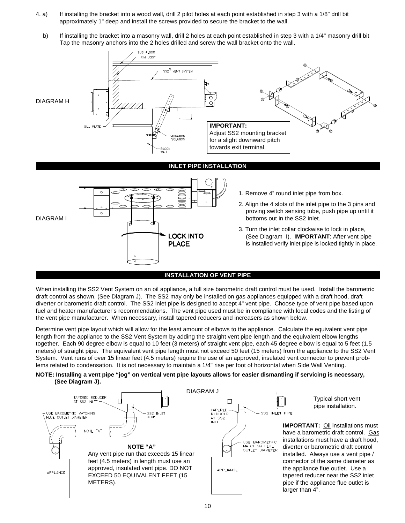- 4. a) If installing the bracket into a wood wall, drill 2 pilot holes at each point established in step 3 with a 1/8" drill bit approximately 1" deep and install the screws provided to secure the bracket to the wall.
	- b) If installing the bracket into a masonry wall, drill 2 holes at each point established in step 3 with a 1/4" masonry drill bit Tap the masonry anchors into the 2 holes drilled and screw the wall bracket onto the wall.



When installing the SS2 Vent System on an oil appliance, a full size barometric draft control must be used. Install the barometric draft control as shown, (See Diagram J). The SS2 may only be installed on gas appliances equipped with a draft hood, draft diverter or barometric draft control. The SS2 inlet pipe is designed to accept 4" vent pipe. Choose type of vent pipe based upon fuel and heater manufacturer's recommendations. The vent pipe used must be in compliance with local codes and the listing of the vent pipe manufacturer. When necessary, install tapered reducers and increasers as shown below.

Determine vent pipe layout which will allow for the least amount of elbows to the appliance. Calculate the equivalent vent pipe length from the appliance to the SS2 Vent System by adding the straight vent pipe length and the equivalent elbow lengths together. Each 90 degree elbow is equal to 10 feet (3 meters) of straight vent pipe, each 45 degree elbow is equal to 5 feet (1.5 meters) of straight pipe. The equivalent vent pipe length must not exceed 50 feet (15 meters) from the appliance to the SS2 Vent System. Vent runs of over 15 linear feet (4.5 meters) require the use of an approved, insulated vent connector to prevent problems related to condensation. It is not necessary to maintain a 1/4" rise per foot of horizontal when Side Wall Venting.

### **NOTE: Installing a vent pipe "jog" on vertical vent pipe layouts allows for easier dismantling if servicing is necessary, (See Diagram J).**



Typical short vent pipe installation.

**IMPORTANT:** Oil installations must have a barometric draft control. Gas installations must have a draft hood, diverter or barometric draft control installed. Always use a vent pipe / connector of the same diameter as the appliance flue outlet. Use a tapered reducer near the SS2 inlet pipe if the appliance flue outlet is larger than 4".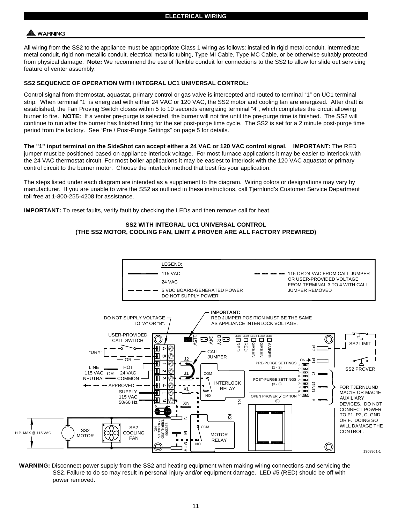# **WARNING**

All wiring from the SS2 to the appliance must be appropriate Class 1 wiring as follows: installed in rigid metal conduit, intermediate metal conduit, rigid non-metallic conduit, electrical metallic tubing, Type MI Cable, Type MC Cable, or be otherwise suitably protected from physical damage. **Note:** We recommend the use of flexible conduit for connections to the SS2 to allow for slide out servicing feature of venter assembly.

### **SS2 SEQUENCE OF OPERATION WITH INTEGRAL UC1 UNIVERSAL CONTROL:**

Control signal from thermostat, aquastat, primary control or gas valve is intercepted and routed to terminal "1" on UC1 terminal strip. When terminal "1" is energized with either 24 VAC or 120 VAC, the SS2 motor and cooling fan are energized. After draft is established, the Fan Proving Switch closes within 5 to 10 seconds energizing terminal "4", which completes the circuit allowing burner to fire. **NOTE:** If a venter pre-purge is selected, the burner will not fire until the pre-purge time is finished. The SS2 will continue to run after the burner has finished firing for the set post-purge time cycle. The SS2 is set for a 2 minute post-purge time period from the factory. See "Pre / Post-Purge Settings" on page 5 for details.

**The "1" input terminal on the SideShot can accept either a 24 VAC or 120 VAC control signal. IMPORTANT:** The RED jumper must be positioned based on appliance interlock voltage. For most furnace applications it may be easier to interlock with the 24 VAC thermostat circuit. For most boiler applications it may be easiest to interlock with the 120 VAC aquastat or primary control circuit to the burner motor. Choose the interlock method that best fits your application.

The steps listed under each diagram are intended as a supplement to the diagram. Wiring colors or designations may vary by manufacturer. If you are unable to wire the SS2 as outlined in these instructions, call Tjernlund's Customer Service Department toll free at 1-800-255-4208 for assistance.

**IMPORTANT:** To reset faults, verify fault by checking the LEDs and then remove call for heat.

### **SS2 WITH INTEGRAL UC1 UNIVERSAL CONTROL (THE SS2 MOTOR, COOLING FAN, LIMIT & PROVER ARE ALL FACTORY PREWIRED)**



**WARNING:** Disconnect power supply from the SS2 and heating equipment when making wiring connections and servicing the SS2. Failure to do so may result in personal injury and/or equipment damage. LED #5 (RED) should be off with power removed.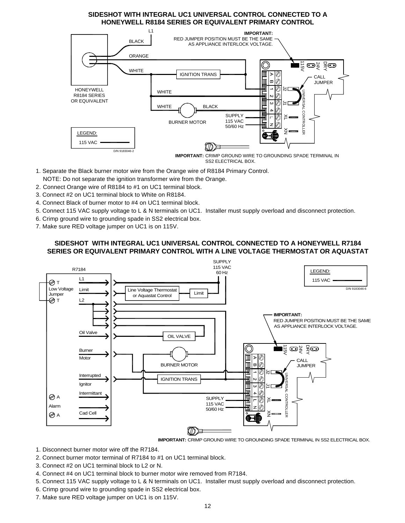## **SIDESHOT WITH INTEGRAL UC1 UNIVERSAL CONTROL CONNECTED TO A HONEYWELL R8184 SERIES OR EQUIVALENT PRIMARY CONTROL**



- 1. Separate the Black burner motor wire from the Orange wire of R8184 Primary Control.
- NOTE: Do not separate the ignition transformer wire from the Orange.
- 2. Connect Orange wire of R8184 to #1 on UC1 terminal block.
- 3. Connect #2 on UC1 terminal block to White on R8184.
- 4. Connect Black of burner motor to #4 on UC1 terminal block.
- 5. Connect 115 VAC supply voltage to L & N terminals on UC1. Installer must supply overload and disconnect protection.
- 6. Crimp ground wire to grounding spade in SS2 electrical box.
- 7. Make sure RED voltage jumper on UC1 is on 115V.

# **SIDESHOT WITH INTEGRAL UC1 UNIVERSAL CONTROL CONNECTED TO A HONEYWELL R7184 SERIES OR EQUIVALENT PRIMARY CONTROL WITH A LINE VOLTAGE THERMOSTAT OR AQUASTAT**



**IMPORTANT:** CRIMP GROUND WIRE TO GROUNDING SPADE TERMINAL IN SS2 ELECTRICAL BOX.

- 1. Disconnect burner motor wire off the R7184.
- 2. Connect burner motor terminal of R7184 to #1 on UC1 terminal block.
- 3. Connect #2 on UC1 terminal block to L2 or N.
- 4. Connect #4 on UC1 terminal block to burner motor wire removed from R7184.
- 5. Connect 115 VAC supply voltage to L & N terminals on UC1. Installer must supply overload and disconnect protection.
- 6. Crimp ground wire to grounding spade in SS2 electrical box.
- 7. Make sure RED voltage jumper on UC1 is on 115V.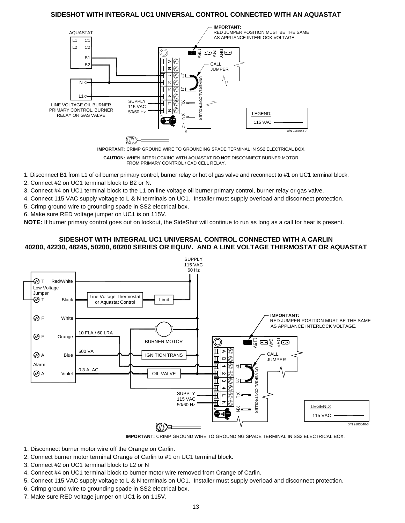# **SIDESHOT WITH INTEGRAL UC1 UNIVERSAL CONTROL CONNECTED WITH AN AQUASTAT**





**CAUTION:** WHEN INTERLOCKING WITH AQUASTAT **DO NOT** DISCONNECT BURNER MOTOR FROM PRIMARY CONTROL / CAD CELL RELAY.

1. Disconnect B1 from L1 of oil burner primary control, burner relay or hot of gas valve and reconnect to #1 on UC1 terminal block.

2. Connect #2 on UC1 terminal block to B2 or N.

3. Connect #4 on UC1 terminal block to the L1 on line voltage oil burner primary control, burner relay or gas valve.

4. Connect 115 VAC supply voltage to L & N terminals on UC1. Installer must supply overload and disconnect protection.

5. Crimp ground wire to grounding spade in SS2 electrical box.

6. Make sure RED voltage jumper on UC1 is on 115V.

**NOTE:** If burner primary control goes out on lockout, the SideShot will continue to run as long as a call for heat is present.

## **SIDESHOT WITH INTEGRAL UC1 UNIVERSAL CONTROL CONNECTED WITH A CARLIN 40200, 42230, 48245, 50200, 60200 SERIES OR EQUIV. AND A LINE VOLTAGE THERMOSTAT OR AQUASTAT**





- 1. Disconnect burner motor wire off the Orange on Carlin.
- 2. Connect burner motor terminal Orange of Carlin to #1 on UC1 terminal block.
- 3. Connect #2 on UC1 terminal block to L2 or N
- 4. Connect #4 on UC1 terminal block to burner motor wire removed from Orange of Carlin.
- 5. Connect 115 VAC supply voltage to L & N terminals on UC1. Installer must supply overload and disconnect protection.
- 6. Crimp ground wire to grounding spade in SS2 electrical box.
- 7. Make sure RED voltage jumper on UC1 is on 115V.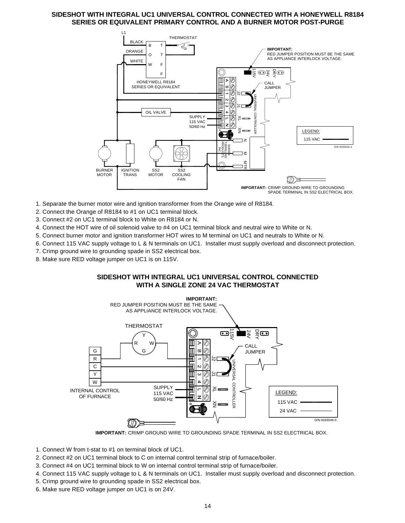### **SIDESHOT WITH INTEGRAL UC1 UNIVERSAL CONTROL CONNECTED WITH A HONEYWELL R8184 SERIES OR EQUIVALENT PRIMARY CONTROL AND A BURNER MOTOR POST-PURGE**



- 1. Separate the burner motor wire and ignition transformer from the Orange wire of R8184.
- 2. Connect the Orange of R8184 to #1 on UC1 terminal block.
- 3. Connect #2 on UC1 terminal block to White on R8184 or N.
- 4. Connect the HOT wire of oil solenoid valve to #4 on UC1 terminal block and neutral wire to White or N.
- 5. Connect burner motor and ignition transformer HOT wires to M terminal on UC1 and neutrals to White or N.
- 6. Connect 115 VAC supply voltage to L & N terminals on UC1. Installer must supply overload and disconnect protection.
- 7. Crimp ground wire to grounding spade in SS2 electrical box.
- 8. Make sure RED voltage jumper on UC1 is on 115V.

### **SIDESHOT WITH INTEGRAL UC1 UNIVERSAL CONTROL CONNECTED WITH A SINGLE ZONE 24 VAC THERMOSTAT**



**IMPORTANT:** CRIMP GROUND WIRE TO GROUNDING SPADE TERMINAL IN SS2 ELECTRICAL BOX.

- 1. Connect W from t-stat to #1 on terminal block of UC1.
- 2. Connect #2 on UC1 terminal block to C on internal control terminal strip of furnace/boiler.
- 3. Connect #4 on UC1 terminal block to W on internal control terminal strip of furnace/boiler.
- 4. Connect 115 VAC supply voltage to L & N terminals on UC1. Installer must supply overload and disconnect protection.
- 5. Crimp ground wire to grounding spade in SS2 electrical box.
- 6. Make sure RED voltage jumper on UC1 is on 24V.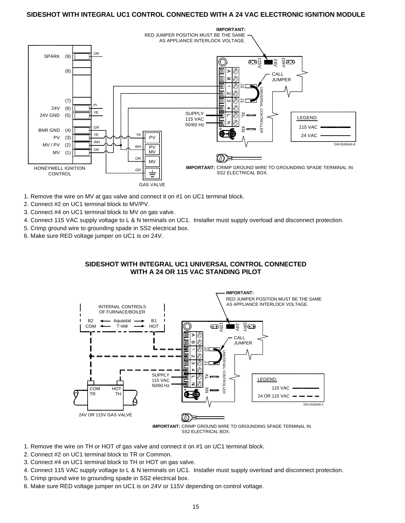# **SIDESHOT WITH INTEGRAL UC1 CONTROL CONNECTED WITH A 24 VAC ELECTRONIC IGNITION MODULE**



- 1. Remove the wire on MV at gas valve and connect it on #1 on UC1 terminal block.
- 2. Connect #2 on UC1 terminal block to MV/PV.
- 3. Connect #4 on UC1 terminal block to MV on gas valve.
- 4. Connect 115 VAC supply voltage to L & N terminals on UC1. Installer must supply overload and disconnect protection.
- 5. Crimp ground wire to grounding spade in SS2 electrical box.
- 6. Make sure RED voltage jumper on UC1 is on 24V.

# **SIDESHOT WITH INTEGRAL UC1 UNIVERSAL CONTROL CONNECTED WITH A 24 OR 115 VAC STANDING PILOT**



SS2 ELECTRICAL BOX.

- 1. Remove the wire on TH or HOT of gas valve and connect it on #1 on UC1 terminal block.
- 2. Connect #2 on UC1 terminal block to TR or Common.
- 3. Connect #4 on UC1 terminal block to TH or HOT on gas valve.
- 4. Connect 115 VAC supply voltage to L & N terminals on UC1. Installer must supply overload and disconnect protection.
- 5. Crimp ground wire to grounding spade in SS2 electrical box.
- 6. Make sure RED voltage jumper on UC1 is on 24V or 115V depending on control voltage.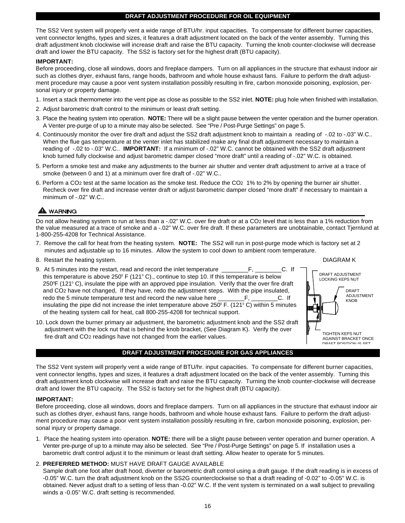### **DRAFT ADJUSTMENT PROCEDURE FOR OIL EQUIPMENT**

The SS2 Vent system will properly vent a wide range of BTU/hr. input capacities. To compensate for different burner capacities, vent connector lengths, types and sizes, it features a draft adjustment located on the back of the venter assembly. Turning this draft adjustment knob clockwise will increase draft and raise the BTU capacity. Turning the knob counter-clockwise will decrease draft and lower the BTU capacity. The SS2 is factory set for the highest draft (BTU capacity).

### **IMPORTANT:**

Before proceeding, close all windows, doors and fireplace dampers. Turn on all appliances in the structure that exhaust indoor air such as clothes dryer, exhaust fans, range hoods, bathroom and whole house exhaust fans. Failure to perform the draft adjustment procedure may cause a poor vent system installation possibly resulting in fire, carbon monoxide poisoning, explosion, personal injury or property damage.

- 1. Insert a stack thermometer into the vent pipe as close as possible to the SS2 inlet. **NOTE:** plug hole when finished with installation.
- 2. Adjust barometric draft control to the minimum or least draft setting.
- 3. Place the heating system into operation. **NOTE:** There will be a slight pause between the venter operation and the burner operation. A Venter pre-purge of up to a minute may also be selected. See "Pre / Post-Purge Settings" on page 5.
- 4. Continuously monitor the over fire draft and adjust the SS2 draft adjustment knob to maintain a reading of -.02 to -.03" W.C.. When the flue gas temperature at the venter inlet has stabilized make any final draft adjustment necessary to maintain a reading of -.02 to -.03" W.C.. **IMPORTANT:** If a minimum of -.02" W.C. cannot be obtained with the SS2 draft adjustment knob turned fully clockwise and adjust barometric damper closed "more draft" until a reading of -.02" W.C. is obtained.
- 5. Perform a smoke test and make any adjustments to the burner air shutter and venter draft adjustment to arrive at a trace of smoke (between 0 and 1) at a minimum over fire draft of -.02" W.C..
- 6. Perform a CO2 test at the same location as the smoke test. Reduce the CO2 1% to 2% by opening the burner air shutter. Recheck over fire draft and increase venter draft or adjust barometric damper closed "more draft" if necessary to maintain a minimum of -.02" W.C..

# A WARNING

Do not allow heating system to run at less than a -.02" W.C. over fire draft or at a CO2 level that is less than a 1% reduction from the value measured at a trace of smoke and a -.02" W.C. over fire draft. If these parameters are unobtainable, contact Tjernlund at 1-800-255-4208 for Technical Assistance.

- 7. Remove the call for heat from the heating system. **NOTE:** The SS2 will run in post-purge mode which is factory set at 2 minutes and adjustable up to 16 minutes. Allow the system to cool down to ambient room temperature.
- 8. Restart the heating system.
- 9. At 5 minutes into the restart, read and record the inlet temperature \_\_\_\_\_\_\_\_F, \_\_\_\_\_\_\_\_C. If this temperature is above 250 $\degree$  F (121 $\degree$  C)., continue to step 10. If this temperature is below 250°F (121° C), insulate the pipe with an approved pipe insulation. Verify that the over fire draft and CO2 have not changed, If they have, redo the adjustment steps. With the pipe insulated, redo the 5 minute temperature test and record the new value here F. F. C. If insulating the pipe did not increase the inlet temperature above  $250^{\circ}$  F. (121 $^{\circ}$  C) within 5 minutes of the heating system call for heat, call 800-255-4208 for technical support.



10. Lock down the burner primary air adjustment, the barometric adjustment knob and the SS2 draft adjustment with the lock nut that is behind the knob bracket, (See Diagram K). Verify the over fire draft and CO2 readings have not changed from the earlier values.

## **DRAFT ADJUSTMENT PROCEDURE FOR GAS APPLIANCES**

The SS2 Vent system will properly vent a wide range of BTU/hr. input capacities. To compensate for different burner capacities, vent connector lengths, types and sizes, it features a draft adjustment located on the back of the venter assembly. Turning this draft adjustment knob clockwise will increase draft and raise the BTU capacity. Turning the knob counter-clockwise will decrease draft and lower the BTU capacity. The SS2 is factory set for the highest draft (BTU capacity).

### **IMPORTANT:**

Before proceeding, close all windows, doors and fireplace dampers. Turn on all appliances in the structure that exhaust indoor air such as clothes dryer, exhaust fans, range hoods, bathroom and whole house exhaust fans. Failure to perform the draft adjustment procedure may cause a poor vent system installation possibly resulting in fire, carbon monoxide poisoning, explosion, personal injury or property damage.

1. Place the heating system into operation. **NOTE:** there will be a slight pause between venter operation and burner operation. A Venter pre-purge of up to a minute may also be selected. See "Pre / Post-Purge Settings" on page 5. If installation uses a barometric draft control adjust it to the minimum or least draft setting. Allow heater to operate for 5 minutes.

### 2. **PREFERRED METHOD:** MUST HAVE DRAFT GAUGE AVAILABLE

Sample draft one foot after draft hood, diverter or barometric draft control using a draft gauge. If the draft reading is in excess of -0.05" W.C. turn the draft adjustment knob on the SS2G counterclockwise so that a draft reading of -0.02" to -0.05" W.C. is obtained. Never adjust draft to a setting of less than -0.02" W.C. If the vent system is terminated on a wall subject to prevailing winds a -0.05" W.C. draft setting is recommended.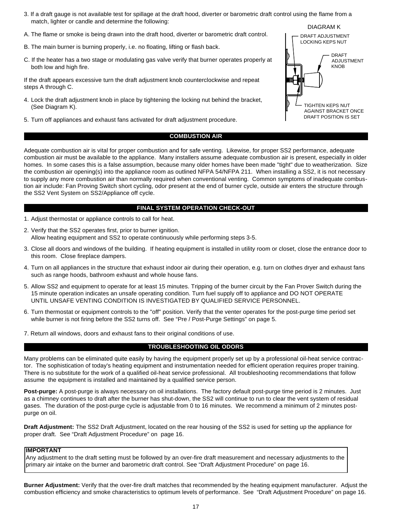- 3. If a draft gauge is not available test for spillage at the draft hood, diverter or barometric draft control using the flame from a match, lighter or candle and determine the following:
- A. The flame or smoke is being drawn into the draft hood, diverter or barometric draft control.
- B. The main burner is burning properly, i.e. no floating, lifting or flash back.
- C. If the heater has a two stage or modulating gas valve verify that burner operates properly at both low and high fire.

If the draft appears excessive turn the draft adjustment knob counterclockwise and repeat steps A through C.

- 4. Lock the draft adjustment knob in place by tightening the locking nut behind the bracket, (See Diagram K).
- 5. Turn off appliances and exhaust fans activated for draft adjustment procedure.



### **COMBUSTION AIR**

Adequate combustion air is vital for proper combustion and for safe venting. Likewise, for proper SS2 performance, adequate combustion air must be available to the appliance. Many installers assume adequate combustion air is present, especially in older homes. In some cases this is a false assumption, because many older homes have been made "tight" due to weatherization. Size the combustion air opening(s) into the appliance room as outlined NFPA 54/NFPA 211. When installing a SS2, it is not necessary to supply any more combustion air than normally required when conventional venting. Common symptoms of inadequate combustion air include: Fan Proving Switch short cycling, odor present at the end of burner cycle, outside air enters the structure through the SS2 Vent System on SS2/Appliance off cycle.

### **FINAL SYSTEM OPERATION CHECK-OUT**

- 1. Adjust thermostat or appliance controls to call for heat.
- 2. Verify that the SS2 operates first, prior to burner ignition. Allow heating equipment and SS2 to operate continuously while performing steps 3-5.
- 3. Close all doors and windows of the building. If heating equipment is installed in utility room or closet, close the entrance door to this room. Close fireplace dampers.
- 4. Turn on all appliances in the structure that exhaust indoor air during their operation, e.g. turn on clothes dryer and exhaust fans such as range hoods, bathroom exhaust and whole house fans.
- 5. Allow SS2 and equipment to operate for at least 15 minutes. Tripping of the burner circuit by the Fan Prover Switch during the 15 minute operation indicates an unsafe operating condition. Turn fuel supply off to appliance and DO NOT OPERATE UNTIL UNSAFE VENTING CONDITION IS INVESTIGATED BY QUALIFIED SERVICE PERSONNEL.
- 6. Turn thermostat or equipment controls to the "off" position. Verify that the venter operates for the post-purge time period set while burner is not firing before the SS2 turns off. See "Pre / Post-Purge Settings" on page 5.
- 7. Return all windows, doors and exhaust fans to their original conditions of use.

### **TROUBLESHOOTING OIL ODORS**

Many problems can be eliminated quite easily by having the equipment properly set up by a professional oil-heat service contractor. The sophistication of today's heating equipment and instrumentation needed for efficient operation requires proper training. There is no substitute for the work of a qualified oil-heat service professional. All troubleshooting recommendations that follow assume the equipment is installed and maintained by a qualified service person.

**Post-purge:** A post-purge is always necessary on oil installations. The factory default post-purge time period is 2 minutes. Just as a chimney continues to draft after the burner has shut-down, the SS2 will continue to run to clear the vent system of residual gases. The duration of the post-purge cycle is adjustable from 0 to 16 minutes. We recommend a minimum of 2 minutes postpurge on oil.

**Draft Adjustment:** The SS2 Draft Adjustment, located on the rear housing of the SS2 is used for setting up the appliance for proper draft. See "Draft Adjustment Procedure" on page 16.

### **IMPORTANT**

Any adjustment to the draft setting must be followed by an over-fire draft measurement and necessary adjustments to the primary air intake on the burner and barometric draft control. See "Draft Adjustment Procedure" on page 16.

**Burner Adjustment:** Verify that the over-fire draft matches that recommended by the heating equipment manufacturer. Adjust the combustion efficiency and smoke characteristics to optimum levels of performance. See "Draft Adjustment Procedure" on page 16.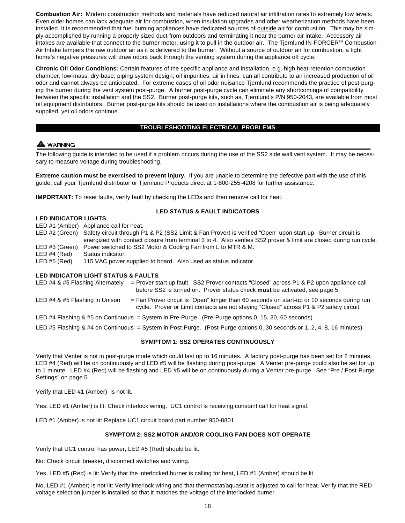**Combustion Air:** Modern construction methods and materials have reduced natural air infiltration rates to extremely low levels. Even older homes can lack adequate air for combustion, when insulation upgrades and other weatherization methods have been installed. It is recommended that fuel burning appliances have dedicated sources of outside air for combustion. This may be simply accomplished by running a properly sized duct from outdoors and terminating it near the burner air intake. Accessory air intakes are available that connect to the burner motor, using it to pull in the outdoor air. The Tjernlund IN-FORCER™ Combustion Air Intake tempers the raw outdoor air as it is delivered to the burner. Without a source of outdoor air for combustion, a tight home's negative pressures will draw odors back through the venting system during the appliance off cycle.

**Chronic Oil Odor Conditions:** Certain features of the specific appliance and installation, e.g. high heat-retention combustion chamber; low-mass, dry-base; piping system design; oil impurities; air in lines, can all contribute to an increased production of oil odor and cannot always be anticipated. For extreme cases of oil odor nuisance Tjernlund recommends the practice of post-purging the burner during the vent system post-purge. A burner post-purge cycle can eliminate any shortcomings of compatibility between the specific installation and the SS2. Burner post-purge kits, such as, Tjernlund's P/N 950-2043, are available from most oil equipment distributors. Burner post-purge kits should be used on installations where the combustion air is being adequately supplied, yet oil odors continue.

### **TROUBLESHOOTING ELECTRICAL PROBLEMS**

# A WARNING

The following guide is intended to be used if a problem occurs during the use of the SS2 side wall vent system. It may be necessary to measure voltage during troubleshooting.

**Extreme caution must be exercised to prevent injury.** If you are unable to determine the defective part with the use of this guide, call your Tjernlund distributor or Tjernlund Products direct at 1-800-255-4208 for further assistance.

**IMPORTANT:** To reset faults, verify fault by checking the LEDs and then remove call for heat.

### **LED INDICATOR LIGHTS**

LED #1 (Amber) Appliance call for heat.

LED #2 (Green) Safety circuit through P1 & P2 (SS2 Limit & Fan Prover) is verified "Open" upon start-up. Burner circuit is energized with contact closure from terminal 3 to 4. Also verifies SS2 prover & limit are closed during run cycle.

**LED STATUS & FAULT INDICATORS**

- LED #3 (Green) Power switched to SS2 Motor & Cooling Fan from L to MTR & M.
- LED #4 (Red) Status indicator.

LED #5 (Red) 115 VAC power supplied to board. Also used as status indicator.

#### **LED INDICATOR LIGHT STATUS & FAULTS**

| LED #4 & #5 Flashing Alternately                                                                    | = Prover start up fault. SS2 Prover contacts "Closed" across P1 & P2 upon appliance call<br>before SS2 is turned on. Prover status check must be activated, see page 5.                 |  |  |  |  |
|-----------------------------------------------------------------------------------------------------|-----------------------------------------------------------------------------------------------------------------------------------------------------------------------------------------|--|--|--|--|
| LED #4 & #5 Flashing in Unison                                                                      | $=$ Fan Prover circuit is "Open" longer than 60 seconds on start-up or 10 seconds during run<br>cycle. Prover or Limit contacts are not staying "Closed" across P1 & P2 safety circuit. |  |  |  |  |
| LED #4 Flashing & #5 on Continuous = System in Pre-Purge. (Pre-Purge options 0, 15, 30, 60 seconds) |                                                                                                                                                                                         |  |  |  |  |
|                                                                                                     | LED #5 Flashing & #4 on Continuous = System in Post-Purge. (Post-Purge options 0, 30 seconds or 1, 2, 4, 8, 16 minutes)                                                                 |  |  |  |  |

### **SYMPTOM 1: SS2 OPERATES CONTINUOUSLY**

Verify that Venter is not in post-purge mode which could last up to 16 minutes. A factory post-purge has been set for 2 minutes. LED #4 (Red) will be on continuously and LED #5 will be flashing during post-purge. A Venter pre-purge could also be set for up to 1 minute. LED #4 (Red) will be flashing and LED #5 will be on continuously during a Venter pre-purge. See "Pre / Post-Purge Settings" on page 5.

Verify that LED #1 (Amber) is not lit.

Yes, LED #1 (Amber) is lit: Check interlock wiring. UC1 control is receiving constant call for heat signal.

LED #1 (Amber) is not lit: Replace UC1 circuit board part number 950-8801.

### **SYMPTOM 2: SS2 MOTOR AND/OR COOLING FAN DOES NOT OPERATE**

Verify that UC1 control has power, LED #5 (Red) should be lit.

No: Check circuit breaker, disconnect switches and wiring.

Yes, LED #5 (Red) is lit: Verify that the interlocked burner is calling for heat, LED #1 (Amber) should be lit.

No, LED #1 (Amber) is not lit: Verify interlock wiring and that thermostat/aquastat is adjusted to call for heat. Verify that the RED voltage selection jumper is installed so that it matches the voltage of the interlocked burner.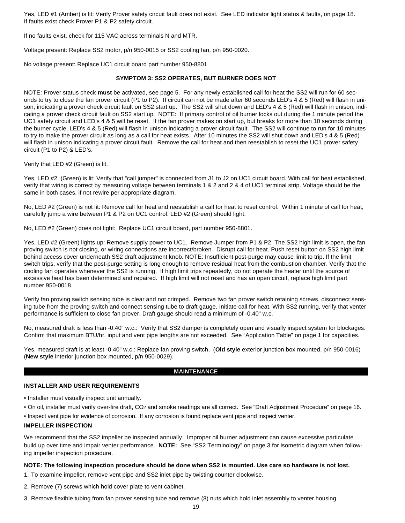Yes, LED #1 (Amber) is lit: Verify Prover safety circuit fault does not exist. See LED indicator light status & faults, on page 18. If faults exist check Prover P1 & P2 safety circuit.

If no faults exist, check for 115 VAC across terminals N and MTR.

Voltage present: Replace SS2 motor, p/n 950-0015 or SS2 cooling fan, p/n 950-0020.

No voltage present: Replace UC1 circuit board part number 950-8801

### **SYMPTOM 3: SS2 OPERATES, BUT BURNER DOES NOT**

NOTE: Prover status check **must** be activated, see page 5. For any newly established call for heat the SS2 will run for 60 seconds to try to close the fan prover circuit (P1 to P2). If circuit can not be made after 60 seconds LED's 4 & 5 (Red) will flash in unison, indicating a prover check circuit fault on SS2 start up. The SS2 will shut down and LED's 4 & 5 (Red) will flash in unison, indicating a prover check circuit fault on SS2 start up. NOTE: If primary control of oil burner locks out during the 1 minute period the UC1 safety circuit and LED's 4 & 5 will be reset. If the fan prover makes on start up, but breaks for more than 10 seconds during the burner cycle, LED's 4 & 5 (Red) will flash in unison indicating a prover circuit fault. The SS2 will continue to run for 10 minutes to try to make the prover circuit as long as a call for heat exists. After 10 minutes the SS2 will shut down and LED's 4 & 5 (Red) will flash in unison indicating a prover circuit fault. Remove the call for heat and then reestablish to reset the UC1 prover safety circuit (P1 to P2) & LED's.

Verify that LED #2 (Green) is lit.

Yes, LED #2 (Green) is lit: Verify that "call jumper" is connected from J1 to J2 on UC1 circuit board. With call for heat established, verify that wiring is correct by measuring voltage between terminals 1 & 2 and 2 & 4 of UC1 terminal strip. Voltage should be the same in both cases, if not rewire per appropriate diagram.

No, LED #2 (Green) is not lit: Remove call for heat and reestablish a call for heat to reset control. Within 1 minute of call for heat, carefully jump a wire between P1 & P2 on UC1 control. LED #2 (Green) should light.

No, LED #2 (Green) does not light: Replace UC1 circuit board, part number 950-8801.

Yes, LED #2 (Green) lights up: Remove supply power to UC1. Remove Jumper from P1 & P2. The SS2 high limit is open, the fan proving switch is not closing, or wiring connections are incorrect/broken. Disrupt call for heat. Push reset button on SS2 high limit behind access cover underneath SS2 draft adjustment knob. NOTE: Insufficient post-purge may cause limit to trip. If the limit switch trips, verify that the post-purge setting is long enough to remove residual heat from the combustion chamber. Verify that the cooling fan operates whenever the SS2 is running. If high limit trips repeatedly, do not operate the heater until the source of excessive heat has been determined and repaired. If high limit will not reset and has an open circuit, replace high limit part number 950-0018.

Verify fan proving switch sensing tube is clear and not crimped. Remove two fan prover switch retaining screws, disconnect sensing tube from the proving switch and connect sensing tube to draft gauge. Initiate call for heat. With SS2 running, verify that venter performance is sufficient to close fan prover. Draft gauge should read a minimum of -0.40" w.c.

No, measured draft is less than -0.40" w.c.: Verify that SS2 damper is completely open and visually inspect system for blockages. Confirm that maximum BTU/hr. input and vent pipe lengths are not exceeded. See "Application Table" on page 1 for capacities.

Yes, measured draft is at least -0.40" w.c.: Replace fan proving switch, (**Old style** exterior junction box mounted, p/n 950-0016) (**New style** interior junction box mounted, p/n 950-0029).

#### **MAINTENANCE**

### **INSTALLER AND USER REQUIREMENTS**

- Installer must visually inspect unit annually.
- On oil, installer must verify over-fire draft, CO2 and smoke readings are all correct. See "Draft Adjustment Procedure" on page 16.
- Inspect vent pipe for evidence of corrosion. If any corrosion is found replace vent pipe and inspect venter.

#### **IMPELLER INSPECTION**

We recommend that the SS2 impeller be inspected annually. Improper oil burner adjustment can cause excessive particulate build up over time and impair venter performance. **NOTE:** See "SS2 Terminology" on page 3 for isometric diagram when following impeller inspection procedure.

#### **NOTE: The following inspection procedure should be done when SS2 is mounted. Use care so hardware is not lost.**

- 1. To examine impeller, remove vent pipe and SS2 inlet pipe by twisting counter clockwise.
- 2. Remove (7) screws which hold cover plate to vent cabinet.
- 3. Remove flexible tubing from fan prover sensing tube and remove (8) nuts which hold inlet assembly to venter housing.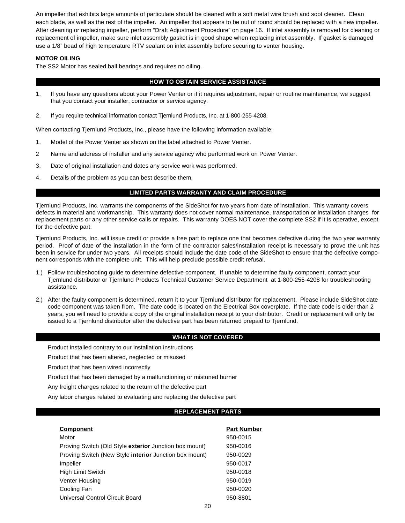An impeller that exhibits large amounts of particulate should be cleaned with a soft metal wire brush and soot cleaner. Clean each blade, as well as the rest of the impeller. An impeller that appears to be out of round should be replaced with a new impeller. After cleaning or replacing impeller, perform "Draft Adjustment Procedure" on page 16. If inlet assembly is removed for cleaning or replacement of impeller, make sure inlet assembly gasket is in good shape when replacing inlet assembly. If gasket is damaged use a 1/8" bead of high temperature RTV sealant on inlet assembly before securing to venter housing.

### **MOTOR OILING**

The SS2 Motor has sealed ball bearings and requires no oiling.

### **HOW TO OBTAIN SERVICE ASSISTANCE**

- 1. If you have any questions about your Power Venter or if it requires adjustment, repair or routine maintenance, we suggest that you contact your installer, contractor or service agency.
- 2. If you require technical information contact Tjernlund Products, Inc. at 1-800-255-4208.

When contacting Tjernlund Products, Inc., please have the following information available:

- 1. Model of the Power Venter as shown on the label attached to Power Venter.
- 2 Name and address of installer and any service agency who performed work on Power Venter.
- 3. Date of original installation and dates any service work was performed.
- 4. Details of the problem as you can best describe them.

### **LIMITED PARTS WARRANTY AND CLAIM PROCEDURE**

Tjernlund Products, Inc. warrants the components of the SideShot for two years from date of installation. This warranty covers defects in material and workmanship. This warranty does not cover normal maintenance, transportation or installation charges for replacement parts or any other service calls or repairs. This warranty DOES NOT cover the complete SS2 if it is operative, except for the defective part.

Tjernlund Products, Inc. will issue credit or provide a free part to replace one that becomes defective during the two year warranty period. Proof of date of the installation in the form of the contractor sales/installation receipt is necessary to prove the unit has been in service for under two years. All receipts should include the date code of the SideShot to ensure that the defective component corresponds with the complete unit. This will help preclude possible credit refusal.

- 1.) Follow troubleshooting guide to determine defective component. If unable to determine faulty component, contact your Tjernlund distributor or Tjernlund Products Technical Customer Service Department at 1-800-255-4208 for troubleshooting assistance.
- 2.) After the faulty component is determined, return it to your Tjernlund distributor for replacement. Please include SideShot date code component was taken from. The date code is located on the Electrical Box coverplate. If the date code is older than 2 years, you will need to provide a copy of the original installation receipt to your distributor. Credit or replacement will only be issued to a Tjernlund distributor after the defective part has been returned prepaid to Tjernlund.

### **WHAT IS NOT COVERED**

Product installed contrary to our installation instructions

Product that has been altered, neglected or misused

Product that has been wired incorrectly

Product that has been damaged by a malfunctioning or mistuned burner

Any freight charges related to the return of the defective part

Any labor charges related to evaluating and replacing the defective part

### **REPLACEMENT PARTS**

### **Component Part Number**

| Motor                                                         | 950-0015 |
|---------------------------------------------------------------|----------|
| Proving Switch (Old Style exterior Junction box mount)        | 950-0016 |
| Proving Switch (New Style <b>interior</b> Junction box mount) | 950-0029 |
| Impeller                                                      | 950-0017 |
| <b>High Limit Switch</b>                                      | 950-0018 |
| Venter Housing                                                | 950-0019 |
| Cooling Fan                                                   | 950-0020 |
| Universal Control Circuit Board                               | 950-8801 |